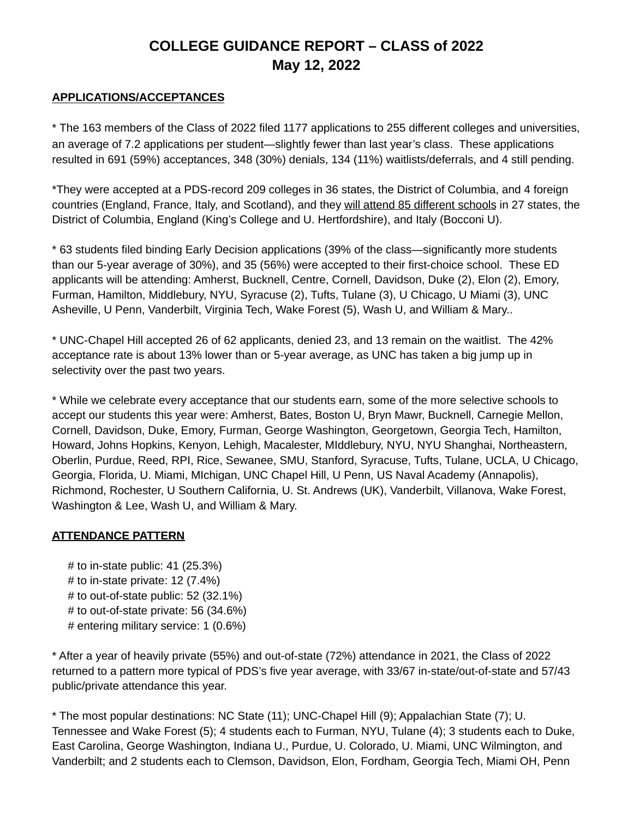# **COLLEGE GUIDANCE REPORT – CLASS of 2022 May 12, 2022**

#### **APPLICATIONS/ACCEPTANCES**

\* The 163 members of the Class of 2022 filed 1177 applications to 255 different colleges and universities, an average of 7.2 applications per student—slightly fewer than last year's class. These applications resulted in 691 (59%) acceptances, 348 (30%) denials, 134 (11%) waitlists/deferrals, and 4 still pending.

\*They were accepted at a PDS-record 209 colleges in 36 states, the District of Columbia, and 4 foreign countries (England, France, Italy, and Scotland), and they will attend 85 different schools in 27 states, the District of Columbia, England (King's College and U. Hertfordshire), and Italy (Bocconi U).

\* 63 students filed binding Early Decision applications (39% of the class—significantly more students than our 5-year average of 30%), and 35 (56%) were accepted to their first-choice school. These ED applicants will be attending: Amherst, Bucknell, Centre, Cornell, Davidson, Duke (2), Elon (2), Emory, Furman, Hamilton, Middlebury, NYU, Syracuse (2), Tufts, Tulane (3), U Chicago, U Miami (3), UNC Asheville, U Penn, Vanderbilt, Virginia Tech, Wake Forest (5), Wash U, and William & Mary..

\* UNC-Chapel Hill accepted 26 of 62 applicants, denied 23, and 13 remain on the waitlist. The 42% acceptance rate is about 13% lower than or 5-year average, as UNC has taken a big jump up in selectivity over the past two years.

\* While we celebrate every acceptance that our students earn, some of the more selective schools to accept our students this year were: Amherst, Bates, Boston U, Bryn Mawr, Bucknell, Carnegie Mellon, Cornell, Davidson, Duke, Emory, Furman, George Washington, Georgetown, Georgia Tech, Hamilton, Howard, Johns Hopkins, Kenyon, Lehigh, Macalester, MIddlebury, NYU, NYU Shanghai, Northeastern, Oberlin, Purdue, Reed, RPI, Rice, Sewanee, SMU, Stanford, Syracuse, Tufts, Tulane, UCLA, U Chicago, Georgia, Florida, U. Miami, MIchigan, UNC Chapel Hill, U Penn, US Naval Academy (Annapolis), Richmond, Rochester, U Southern California, U. St. Andrews (UK), Vanderbilt, Villanova, Wake Forest, Washington & Lee, Wash U, and William & Mary.

#### **ATTENDANCE PATTERN**

 $#$  to in-state public: 41 (25.3%)  $#$  to in-state private: 12 (7.4%)  $#$  to out-of-state public: 52 (32.1%) # to out-of-state private: 56 (34.6%) # entering military service: 1 (0.6%)

\* After a year of heavily private (55%) and out-of-state (72%) attendance in 2021, the Class of 2022 returned to a pattern more typical of PDS's five year average, with 33/67 in-state/out-of-state and 57/43 public/private attendance this year.

\* The most popular destinations: NC State (11); UNC-Chapel Hill (9); Appalachian State (7); U. Tennessee and Wake Forest (5); 4 students each to Furman, NYU, Tulane (4); 3 students each to Duke, East Carolina, George Washington, Indiana U., Purdue, U. Colorado, U. Miami, UNC Wilmington, and Vanderbilt; and 2 students each to Clemson, Davidson, Elon, Fordham, Georgia Tech, Miami OH, Penn